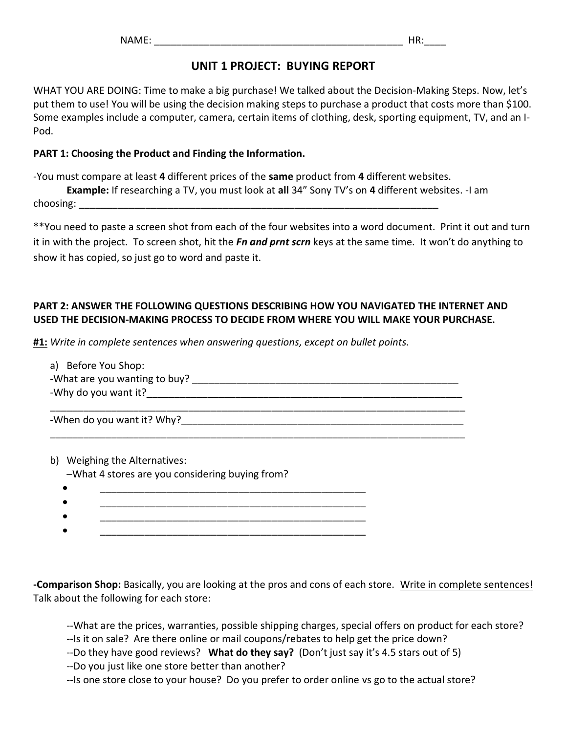## **UNIT 1 PROJECT: BUYING REPORT**

WHAT YOU ARE DOING: Time to make a big purchase! We talked about the Decision-Making Steps. Now, let's put them to use! You will be using the decision making steps to purchase a product that costs more than \$100. Some examples include a computer, camera, certain items of clothing, desk, sporting equipment, TV, and an I-Pod.

#### **PART 1: Choosing the Product and Finding the Information.**

-You must compare at least **4** different prices of the **same** product from **4** different websites.

**Example:** If researching a TV, you must look at **all** 34" Sony TV's on **4** different websites. -I am choosing:  $\Box$ 

\*\*You need to paste a screen shot from each of the four websites into a word document. Print it out and turn it in with the project. To screen shot, hit the *Fn and prnt scrn* keys at the same time. It won't do anything to show it has copied, so just go to word and paste it.

### **PART 2: ANSWER THE FOLLOWING QUESTIONS DESCRIBING HOW YOU NAVIGATED THE INTERNET AND USED THE DECISION-MAKING PROCESS TO DECIDE FROM WHERE YOU WILL MAKE YOUR PURCHASE.**

**#1:** *Write in complete sentences when answering questions, except on bullet points.*

| a) Before You Shop:           |  |  |
|-------------------------------|--|--|
| -What are you wanting to buy? |  |  |
| -Why do you want it?          |  |  |
|                               |  |  |

\_\_\_\_\_\_\_\_\_\_\_\_\_\_\_\_\_\_\_\_\_\_\_\_\_\_\_\_\_\_\_\_\_\_\_\_\_\_\_\_\_\_\_\_\_\_\_\_\_\_\_\_\_\_\_\_\_\_\_\_\_\_\_\_\_\_\_\_\_\_\_\_\_\_\_

-When do you want it? Why?\_\_\_\_\_\_\_\_\_\_\_\_\_\_\_\_\_\_\_\_\_\_\_\_\_\_\_\_\_\_\_\_\_\_\_\_\_\_\_\_\_\_\_\_\_\_\_\_\_\_\_

b) Weighing the Alternatives:

–What 4 stores are you considering buying from?

- $\bullet$   $\hspace{0.5cm}$   $\bullet$   $\hspace{0.5cm}$   $\ldots$   $\ldots$   $\ldots$   $\ldots$   $\ldots$   $\ldots$   $\ldots$   $\ldots$   $\ldots$   $\ldots$   $\ldots$   $\ldots$   $\ldots$  $\bullet$   $\hspace{0.5cm}$   $\bullet$   $\hspace{0.5cm}$   $\ldots$   $\ldots$   $\ldots$   $\ldots$   $\ldots$   $\ldots$   $\ldots$   $\ldots$   $\ldots$   $\ldots$   $\ldots$   $\ldots$   $\ldots$
- $\bullet$   $\hspace{0.5cm}$   $\bullet$   $\hspace{0.5cm}$   $\ldots$   $\ldots$   $\ldots$   $\ldots$   $\ldots$   $\ldots$   $\ldots$   $\ldots$   $\ldots$   $\ldots$   $\ldots$   $\ldots$   $\ldots$
- $\bullet$   $\hspace{0.5cm}$   $\bullet$   $\hspace{0.5cm}$   $\ldots$   $\ldots$   $\ldots$   $\ldots$   $\ldots$   $\ldots$   $\ldots$   $\ldots$   $\ldots$   $\ldots$   $\ldots$   $\ldots$   $\ldots$

**-Comparison Shop:** Basically, you are looking at the pros and cons of each store. Write in complete sentences! Talk about the following for each store:

--What are the prices, warranties, possible shipping charges, special offers on product for each store?

--Is it on sale? Are there online or mail coupons/rebates to help get the price down?

--Do they have good reviews? **What do they say?** (Don't just say it's 4.5 stars out of 5)

--Do you just like one store better than another?

--Is one store close to your house? Do you prefer to order online vs go to the actual store?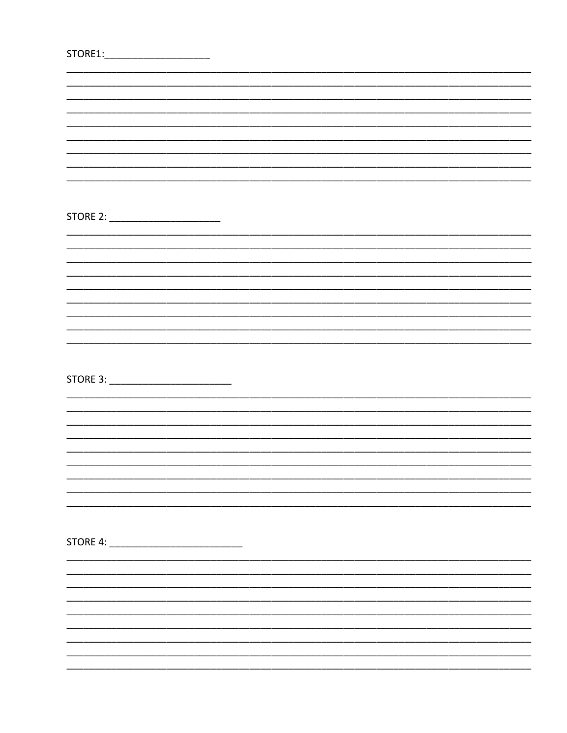| STORE1 |  |  |  |
|--------|--|--|--|
|        |  |  |  |

| STORE 2: _________________________ |  |  |  |
|------------------------------------|--|--|--|
|                                    |  |  |  |
|                                    |  |  |  |
|                                    |  |  |  |
|                                    |  |  |  |
|                                    |  |  |  |
|                                    |  |  |  |
|                                    |  |  |  |
|                                    |  |  |  |
|                                    |  |  |  |
|                                    |  |  |  |
|                                    |  |  |  |
|                                    |  |  |  |
|                                    |  |  |  |
|                                    |  |  |  |
|                                    |  |  |  |
|                                    |  |  |  |
|                                    |  |  |  |
|                                    |  |  |  |
|                                    |  |  |  |
|                                    |  |  |  |
|                                    |  |  |  |
|                                    |  |  |  |
|                                    |  |  |  |
|                                    |  |  |  |
|                                    |  |  |  |
|                                    |  |  |  |
|                                    |  |  |  |
|                                    |  |  |  |
|                                    |  |  |  |
|                                    |  |  |  |
|                                    |  |  |  |
|                                    |  |  |  |
|                                    |  |  |  |
|                                    |  |  |  |
|                                    |  |  |  |
|                                    |  |  |  |
|                                    |  |  |  |
|                                    |  |  |  |
|                                    |  |  |  |
|                                    |  |  |  |
|                                    |  |  |  |
|                                    |  |  |  |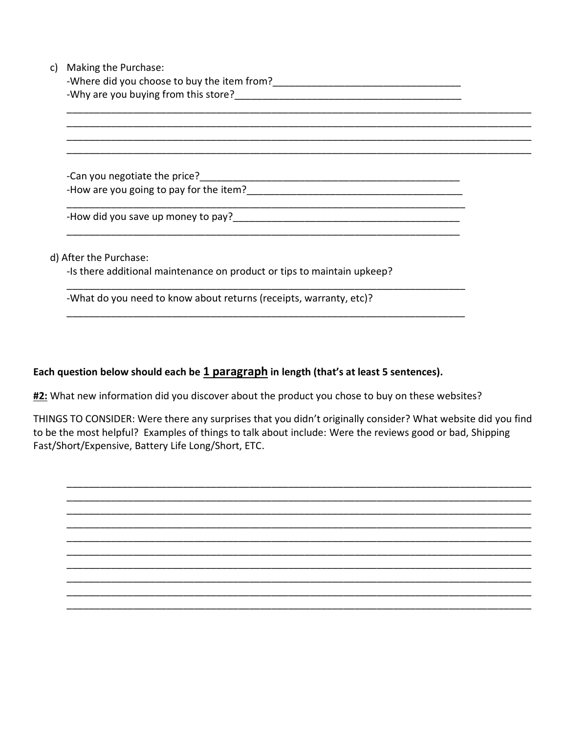| -Where did you choose to buy the item from?                             |  |  |
|-------------------------------------------------------------------------|--|--|
|                                                                         |  |  |
|                                                                         |  |  |
|                                                                         |  |  |
|                                                                         |  |  |
|                                                                         |  |  |
|                                                                         |  |  |
|                                                                         |  |  |
|                                                                         |  |  |
|                                                                         |  |  |
|                                                                         |  |  |
| d) After the Purchase:                                                  |  |  |
| -Is there additional maintenance on product or tips to maintain upkeep? |  |  |
| -What do you need to know about returns (receipts, warranty, etc)?      |  |  |

## Each question below should each be 1 paragraph in length (that's at least 5 sentences).

#2: What new information did you discover about the product you chose to buy on these websites?

THINGS TO CONSIDER: Were there any surprises that you didn't originally consider? What website did you find to be the most helpful? Examples of things to talk about include: Were the reviews good or bad, Shipping Fast/Short/Expensive, Battery Life Long/Short, ETC.